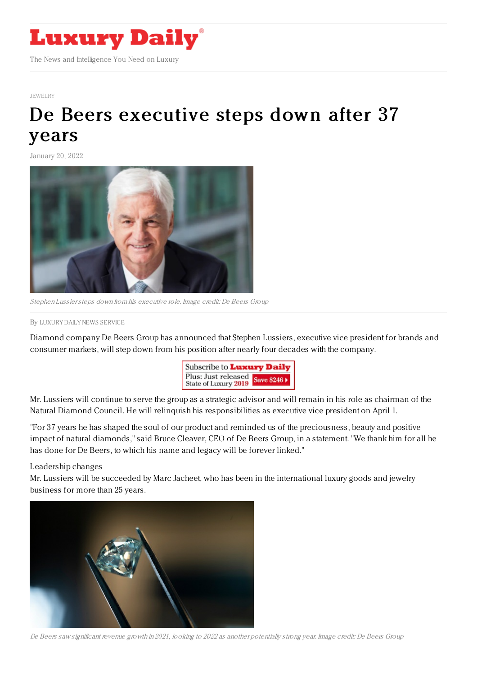

## [JEWELRY](https://www.luxurydaily.com/category/sectors/jewelry/)

## De Beers [executive](https://www.luxurydaily.com/de-beers-executive-steps-down-after-37-years/) steps down after 37 years

January 20, 2022



Stephen Lussiersteps down from his executive role. Image credit: De Beers Group

## By LUXURY DAILY NEWS [SERVICE](file:///author/luxury-daily-news-service)

Diamond company De Beers Group has announced that Stephen Lussiers, executive vice president for brands and consumer markets, will step down from his position after nearly four decades with the company.



Mr. Lussiers will continue to serve the group as a strategic advisor and will remain in his role as chairman of the Natural Diamond Council. He will relinquish his responsibilities as executive vice president on April 1.

"For 37 years he has shaped the soul of our product and reminded us of the preciousness, beauty and positive impact of natural diamonds," said Bruce Cleaver, CEO of De Beers Group, in a statement. "We thank him for all he has done for De Beers, to which his name and legacy will be forever linked."

## Leadership changes

Mr. Lussiers will be succeeded by Marc Jacheet, who has been in the international luxury goods and jewelry business for more than 25 years.



De Beers saw significant revenue growth in 2021, looking to 2022 as another potentially strong year. Image credit: De Beers Group